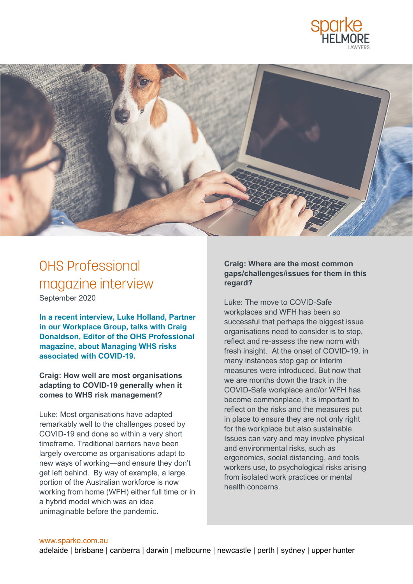



# OHS Professional magazine interview September 2020

**In a recent interview, Luke Holland, Partner in our Workplace Group, talks with Craig Donaldson, Editor of the OHS Professional magazine, about Managing WHS risks associated with COVID-19.** 

**Craig: How well are most organisations adapting to COVID-19 generally when it comes to WHS risk management?** 

Luke: Most organisations have adapted remarkably well to the challenges posed by COVID-19 and done so within a very short timeframe. Traditional barriers have been largely overcome as organisations adapt to new ways of working—and ensure they don't get left behind. By way of example, a large portion of the Australian workforce is now working from home (WFH) either full time or in a hybrid model which was an idea unimaginable before the pandemic.

### **Craig: Where are the most common gaps/challenges/issues for them in this regard?**

Luke: The move to COVID-Safe workplaces and WFH has been so successful that perhaps the biggest issue organisations need to consider is to stop, reflect and re-assess the new norm with fresh insight. At the onset of COVID-19, in many instances stop gap or interim measures were introduced. But now that we are months down the track in the COVID-Safe workplace and/or WFH has become commonplace, it is important to reflect on the risks and the measures put in place to ensure they are not only right for the workplace but also sustainable. Issues can vary and may involve physical and environmental risks, such as ergonomics, social distancing, and tools workers use, to psychological risks arising from isolated work practices or mental health concerns.